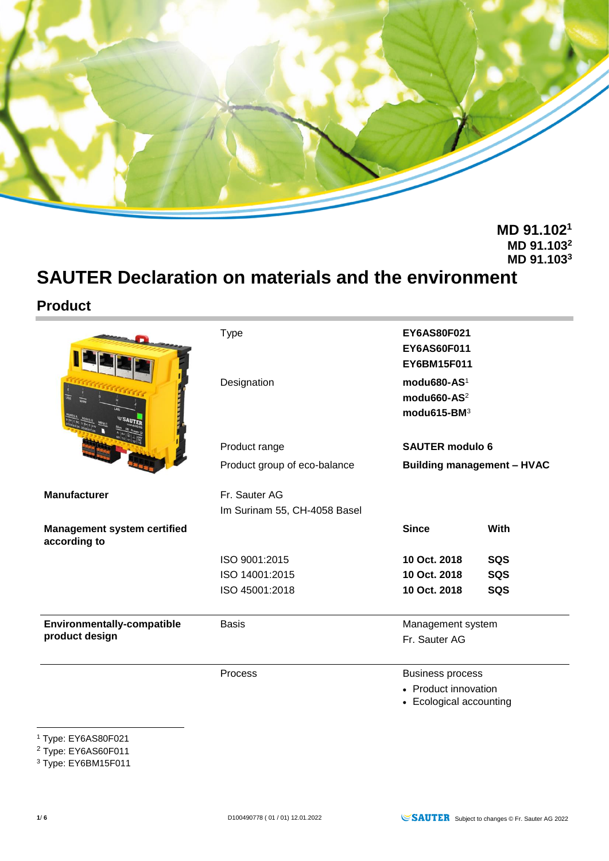

**MD 91.102<sup>1</sup> MD 91.103<sup>2</sup> MD 91.103<sup>3</sup>**

# **SAUTER Declaration on materials and the environment**

## **Product**

|                                                     | <b>Type</b><br>Designation                    |                                                            | EY6AS80F021<br>EY6AS60F011<br>EY6BM15F011<br>modu680-AS <sup>1</sup><br>modu660-AS <sup>2</sup><br>modu615-BM <sup>3</sup> |  |
|-----------------------------------------------------|-----------------------------------------------|------------------------------------------------------------|----------------------------------------------------------------------------------------------------------------------------|--|
|                                                     | Product range                                 | <b>SAUTER modulo 6</b>                                     |                                                                                                                            |  |
|                                                     | Product group of eco-balance                  | <b>Building management - HVAC</b>                          |                                                                                                                            |  |
| <b>Manufacturer</b>                                 | Fr. Sauter AG<br>Im Surinam 55, CH-4058 Basel |                                                            |                                                                                                                            |  |
| <b>Management system certified</b><br>according to  |                                               | <b>Since</b>                                               | With                                                                                                                       |  |
|                                                     | ISO 9001:2015                                 | 10 Oct. 2018                                               | SQS                                                                                                                        |  |
|                                                     | ISO 14001:2015                                | 10 Oct. 2018                                               | SQS                                                                                                                        |  |
|                                                     | ISO 45001:2018                                | 10 Oct. 2018                                               | SQS                                                                                                                        |  |
| <b>Environmentally-compatible</b><br>product design | <b>Basis</b>                                  | Management system<br>Fr. Sauter AG                         |                                                                                                                            |  |
|                                                     | Process                                       | <b>Business process</b>                                    |                                                                                                                            |  |
|                                                     |                                               | • Product innovation<br>التمسيم والمتمال والمتحال والمتحال |                                                                                                                            |  |

• Ecological accounting

<sup>2</sup> Type: EY6AS60F011

<sup>1</sup> <sup>1</sup> Type: EY6AS80F021

<sup>&</sup>lt;sup>3</sup> Type: EY6BM15F011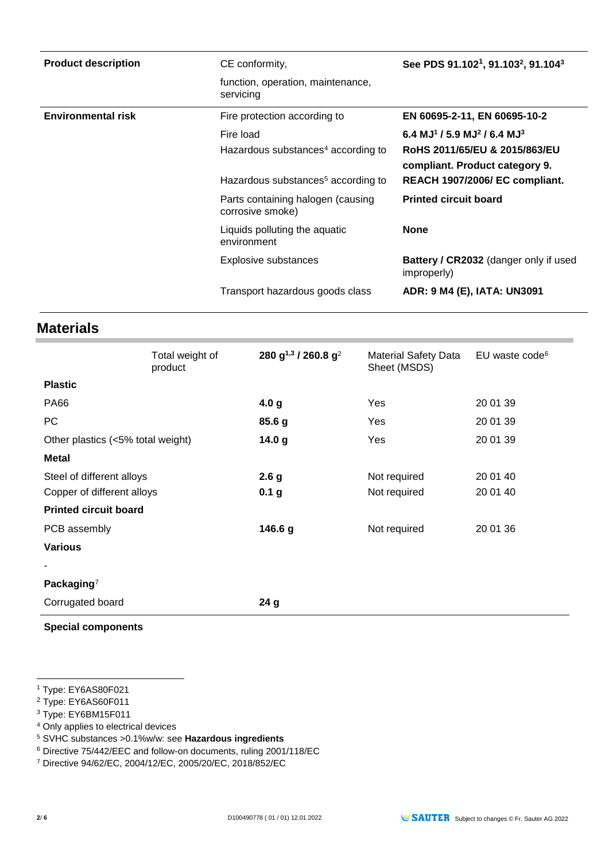| <b>Product description</b> | CE conformity,                                        | See PDS 91.102 <sup>1</sup> , 91.103 <sup>2</sup> , 91.104 <sup>3</sup> |
|----------------------------|-------------------------------------------------------|-------------------------------------------------------------------------|
|                            | function, operation, maintenance,<br>servicing        |                                                                         |
| <b>Environmental risk</b>  | Fire protection according to                          | EN 60695-2-11, EN 60695-10-2                                            |
|                            | Fire load                                             | 6.4 MJ <sup>1</sup> / 5.9 MJ <sup>2</sup> / 6.4 MJ <sup>3</sup>         |
|                            | Hazardous substances <sup>4</sup> according to        | RoHS 2011/65/EU & 2015/863/EU<br>compliant. Product category 9.         |
|                            | Hazardous substances <sup>5</sup> according to        | REACH 1907/2006/ EC compliant.                                          |
|                            | Parts containing halogen (causing<br>corrosive smoke) | <b>Printed circuit board</b>                                            |
|                            | Liquids polluting the aquatic<br>environment          | <b>None</b>                                                             |
|                            | <b>Explosive substances</b>                           | <b>Battery / CR2032</b> (danger only if used<br>improperly)             |
|                            | Transport hazardous goods class                       | ADR: 9 M4 (E), IATA: UN3091                                             |

## **Materials**

|                                   | Total weight of<br>product | 280 g <sup>1,3</sup> / 260.8 g <sup>2</sup> | <b>Material Safety Data</b><br>Sheet (MSDS) | EU waste code <sup>6</sup> |
|-----------------------------------|----------------------------|---------------------------------------------|---------------------------------------------|----------------------------|
| <b>Plastic</b>                    |                            |                                             |                                             |                            |
| <b>PA66</b>                       |                            | 4.0 <sub>g</sub>                            | Yes                                         | 20 01 39                   |
| PC                                |                            | 85.6 g                                      | Yes                                         | 20 01 39                   |
| Other plastics (<5% total weight) |                            | 14.0 <sub>g</sub>                           | Yes                                         | 20 01 39                   |
| <b>Metal</b>                      |                            |                                             |                                             |                            |
| Steel of different alloys         |                            | 2.6 <sub>g</sub>                            | Not required                                | 20 01 40                   |
| Copper of different alloys        |                            | 0.1 <sub>g</sub>                            | Not required                                | 20 01 40                   |
| <b>Printed circuit board</b>      |                            |                                             |                                             |                            |
| PCB assembly                      |                            | 146.6 g                                     | Not required                                | 20 01 36                   |
| <b>Various</b>                    |                            |                                             |                                             |                            |
|                                   |                            |                                             |                                             |                            |
| Packaging $7$                     |                            |                                             |                                             |                            |
| Corrugated board                  |                            | 24 <sub>g</sub>                             |                                             |                            |

**Special components**

1

<sup>1</sup> Type: EY6AS80F021

<sup>2</sup> Type: EY6AS60F011

<sup>3</sup> Type: EY6BM15F011

<sup>4</sup> Only applies to electrical devices

<sup>5</sup> SVHC substances >0.1%w/w: see **Hazardous ingredients**

<sup>6</sup> Directive 75/442/EEC and follow-on documents, ruling 2001/118/EC

<sup>7</sup> Directive 94/62/EC, 2004/12/EC, 2005/20/EC, 2018/852/EC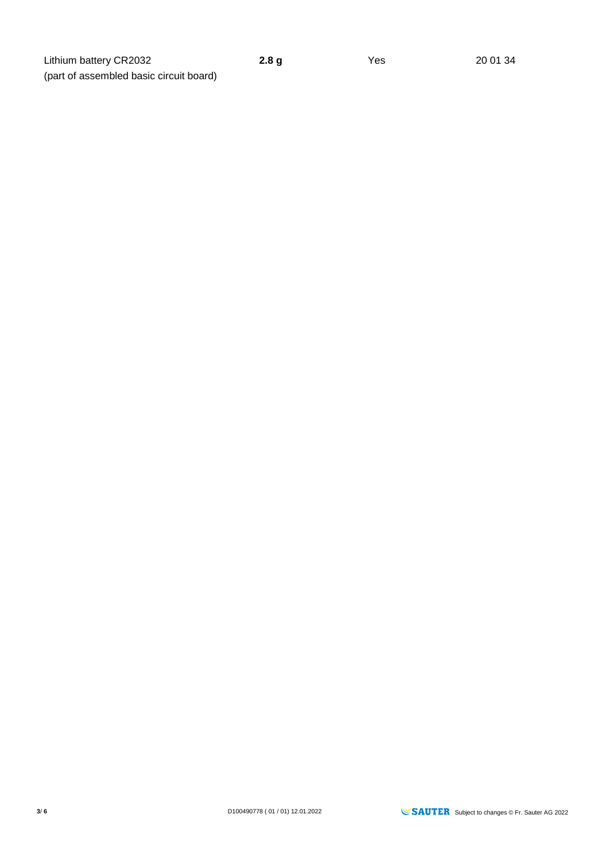**3/ 6** D100490778 ( 01 / 01) 12.01.2022 **SAUTER** Subject to changes © Fr. Sauter AG 2022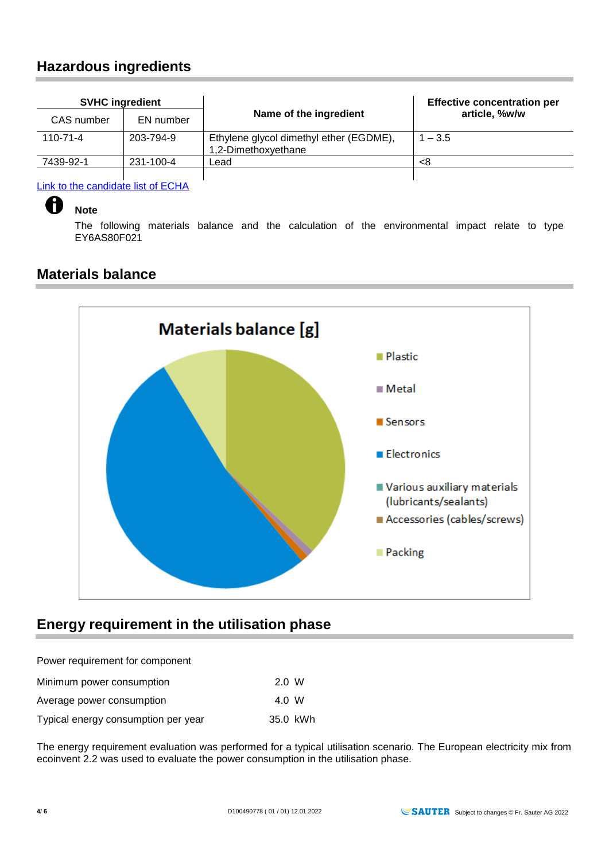## **Hazardous ingredients**

| <b>SVHC ingredient</b> |           |                                                                | <b>Effective concentration per</b> |  |
|------------------------|-----------|----------------------------------------------------------------|------------------------------------|--|
| CAS number             | EN number | Name of the ingredient                                         | article, %w/w                      |  |
| $110 - 71 - 4$         | 203-794-9 | Ethylene glycol dimethyl ether (EGDME),<br>1,2-Dimethoxyethane | $1 - 3.5$                          |  |
| 7439-92-1              | 231-100-4 | Lead.                                                          | <8                                 |  |
|                        |           |                                                                |                                    |  |

[Link to the candidate list of ECHA](https://echa.europa.eu/de/regulations/reach/candidate-list-substances-in-articles)

#### **Note**

H

The following materials balance and the calculation of the environmental impact relate to type EY6AS80F021

## **Materials balance**



## **Energy requirement in the utilisation phase**

Power requirement for component

| Minimum power consumption           | 2.0 W    |  |
|-------------------------------------|----------|--|
| Average power consumption           | 4.0 W    |  |
| Typical energy consumption per year | 35.0 kWh |  |

The energy requirement evaluation was performed for a typical utilisation scenario. The European electricity mix from ecoinvent 2.2 was used to evaluate the power consumption in the utilisation phase.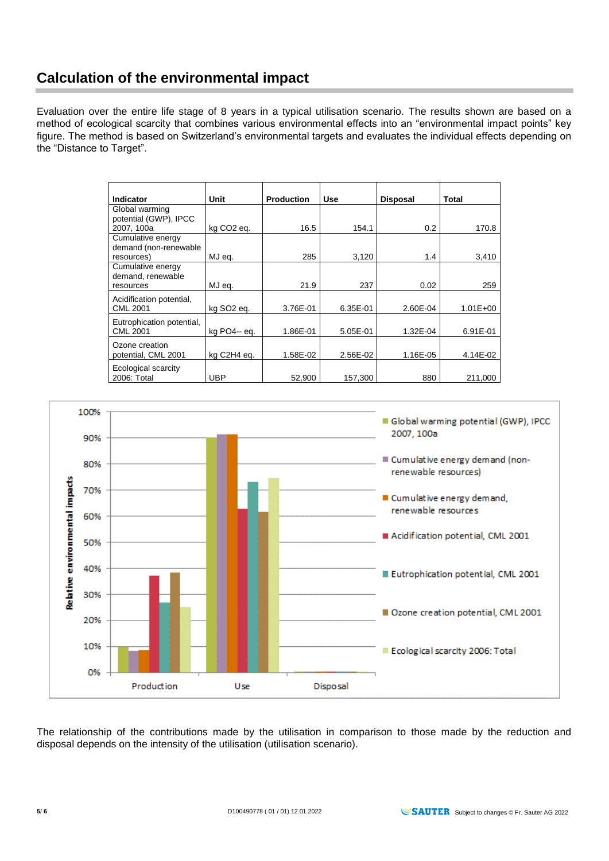## **Calculation of the environmental impact**

Evaluation over the entire life stage of 8 years in a typical utilisation scenario. The results shown are based on a method of ecological scarcity that combines various environmental effects into an "environmental impact points" key figure. The method is based on Switzerland's environmental targets and evaluates the individual effects depending on the "Distance to Target".

| Indicator                                                | Unit                   | <b>Production</b> | <b>Use</b> | <b>Disposal</b> | Total        |
|----------------------------------------------------------|------------------------|-------------------|------------|-----------------|--------------|
| Global warming<br>potential (GWP), IPCC<br>2007, 100a    | kg CO <sub>2</sub> eq. | 16.5              | 154.1      | 0.2             | 170.8        |
| Cumulative energy<br>demand (non-renewable<br>resources) | MJ eq.                 | 285               | 3,120      | 1.4             | 3,410        |
| Cumulative energy<br>demand, renewable<br>resources      | MJ eq.                 | 21.9              | 237        | 0.02            | 259          |
| Acidification potential,<br><b>CML 2001</b>              | kg SO <sub>2</sub> eg. | 3.76E-01          | 6.35E-01   | 2.60E-04        | $1.01E + 00$ |
| Eutrophication potential,<br><b>CML 2001</b>             | kg PO4-- eq.           | 1.86E-01          | 5.05E-01   | 1.32E-04        | 6.91E-01     |
| Ozone creation<br>potential, CML 2001                    | kg C2H4 eq.            | 1.58E-02          | 2.56E-02   | 1.16E-05        | 4.14E-02     |
| Ecological scarcity<br>2006: Total                       | UBP                    | 52,900            | 157,300    | 880             | 211,000      |



The relationship of the contributions made by the utilisation in comparison to those made by the reduction and disposal depends on the intensity of the utilisation (utilisation scenario).